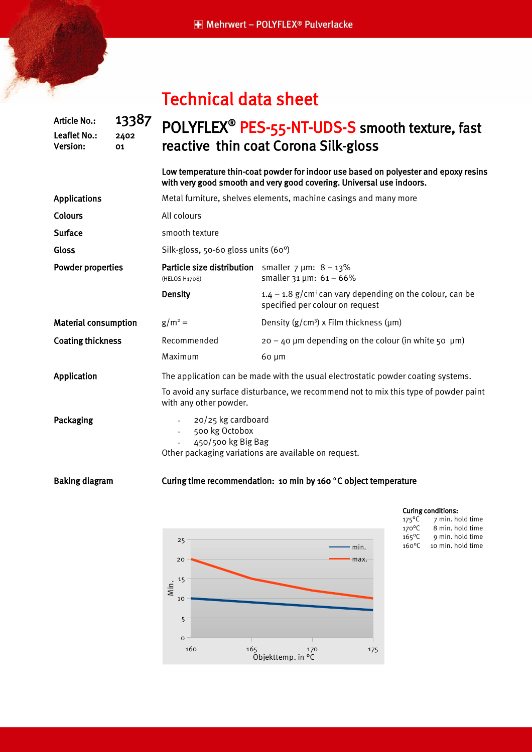# Technical data sheet

## POLYFLEX<sup>®</sup> PES-55-NT-UDS-S smooth texture, fast reactive thin coat Corona Silk-gloss

Low temperature thin-coat powder for indoor use based on polyester and epoxy resins with very good smooth and very good covering. Universal use indoors.

| <b>Applications</b>         | Metal furniture, shelves elements, machine casings and many more                                                   |                                                                                                           |
|-----------------------------|--------------------------------------------------------------------------------------------------------------------|-----------------------------------------------------------------------------------------------------------|
| <b>Colours</b>              | All colours                                                                                                        |                                                                                                           |
| <b>Surface</b>              | smooth texture                                                                                                     |                                                                                                           |
| Gloss                       | Silk-gloss, 50-60 gloss units (60°)                                                                                |                                                                                                           |
| Powder properties           | <b>Particle size distribution</b> smaller $7 \mu m$ : $8 - 13\%$<br>(HELOS H1708)                                  | smaller $31 \mu m$ : $61 - 66\%$                                                                          |
|                             | <b>Density</b>                                                                                                     | $1.4 - 1.8$ g/cm <sup>3</sup> can vary depending on the colour, can be<br>specified per colour on request |
| <b>Material consumption</b> | $g/m^2 =$                                                                                                          | Density $(g/cm^3)$ x Film thickness ( $\mu$ m)                                                            |
| <b>Coating thickness</b>    | Recommended                                                                                                        | $20 - 40$ µm depending on the colour (in white 50 µm)                                                     |
|                             | Maximum                                                                                                            | 60 µm                                                                                                     |
| Application                 |                                                                                                                    | The application can be made with the usual electrostatic powder coating systems.                          |
|                             | To avoid any surface disturbance, we recommend not to mix this type of powder paint<br>with any other powder.      |                                                                                                           |
| Packaging                   | 20/25 kg cardboard<br>500 kg Octobox<br>450/500 kg Big Bag<br>Other packaging variations are available on request. |                                                                                                           |

Baking diagram Curing time recommendation: 10 min by 160 °C object temperature



### Curing conditions:

| 175°C | 7 min. hold time  |
|-------|-------------------|
| 170°C | 8 min. hold time  |
| 165°C | 9 min. hold time  |
| 160°C | 10 min. hold time |

### Article No.: **13387** Leaflet No.: 2402 Version: 01